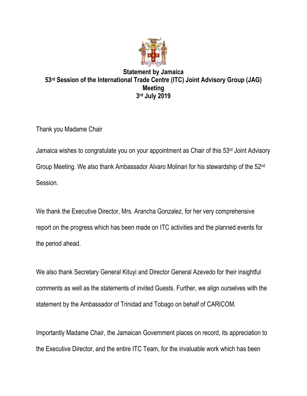

## **Statement by Jamaica 53 rd Session of the International Trade Centre (ITC) Joint Advisory Group (JAG) Meeting 3 rd July 2019**

Thank you Madame Chair

Jamaica wishes to congratulate you on your appointment as Chair of this 53<sup>rd</sup> Joint Advisory Group Meeting. We also thank Ambassador Alvaro Molinari for his stewardship of the 52<sup>nd</sup> Session.

We thank the Executive Director, Mrs. Arancha Gonzalez, for her very comprehensive report on the progress which has been made on ITC activities and the planned events for the period ahead.

We also thank Secretary General Kituyi and Director General Azevedo for their insightful comments as well as the statements of invited Guests. Further, we align ourselves with the statement by the Ambassador of Trinidad and Tobago on behalf of CARICOM.

Importantly Madame Chair, the Jamaican Government places on record, its appreciation to the Executive Director, and the entire ITC Team, for the invaluable work which has been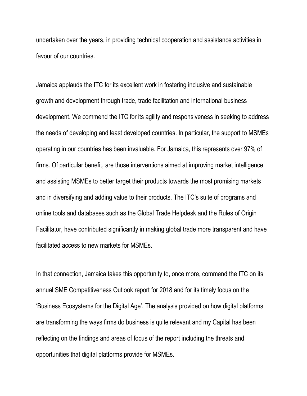undertaken over the years, in providing technical cooperation and assistance activities in favour of our countries.

Jamaica applauds the ITC for its excellent work in fostering inclusive and sustainable growth and development through trade, trade facilitation and international business development. We commend the ITC for its agility and responsiveness in seeking to address the needs of developing and least developed countries. In particular, the support to MSMEs operating in our countries has been invaluable. For Jamaica, this represents over 97% of firms. Of particular benefit, are those interventions aimed at improving market intelligence and assisting MSMEs to better target their products towards the most promising markets and in diversifying and adding value to their products. The ITC's suite of programs and online tools and databases such as the Global Trade Helpdesk and the Rules of Origin Facilitator, have contributed significantly in making global trade more transparent and have facilitated access to new markets for MSMEs.

In that connection, Jamaica takes this opportunity to, once more, commend the ITC on its annual SME Competitiveness Outlook report for 2018 and for its timely focus on the 'Business Ecosystems for the Digital Age'. The analysis provided on how digital platforms are transforming the ways firms do business is quite relevant and my Capital has been reflecting on the findings and areas of focus of the report including the threats and opportunities that digital platforms provide for MSMEs.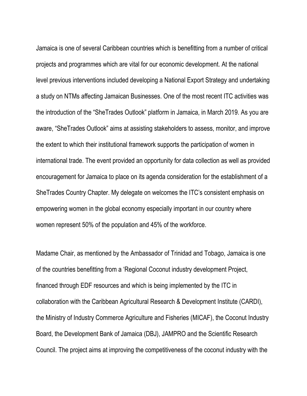Jamaica is one of several Caribbean countries which is benefitting from a number of critical projects and programmes which are vital for our economic development. At the national level previous interventions included developing a National Export Strategy and undertaking a study on NTMs affecting Jamaican Businesses. One of the most recent ITC activities was the introduction of the "SheTrades Outlook" platform in Jamaica, in March 2019. As you are aware, "SheTrades Outlook" aims at assisting stakeholders to assess, monitor, and improve the extent to which their institutional framework supports the participation of women in international trade. The event provided an opportunity for data collection as well as provided encouragement for Jamaica to place on its agenda consideration for the establishment of a SheTrades Country Chapter. My delegate on welcomes the ITC's consistent emphasis on empowering women in the global economy especially important in our country where women represent 50% of the population and 45% of the workforce.

Madame Chair, as mentioned by the Ambassador of Trinidad and Tobago, Jamaica is one of the countries benefitting from a 'Regional Coconut industry development Project, financed through EDF resources and which is being implemented by the ITC in collaboration with the Caribbean Agricultural Research & Development Institute (CARDI), the Ministry of Industry Commerce Agriculture and Fisheries (MICAF), the Coconut Industry Board, the Development Bank of Jamaica (DBJ), JAMPRO and the Scientific Research Council. The project aims at improving the competitiveness of the coconut industry with the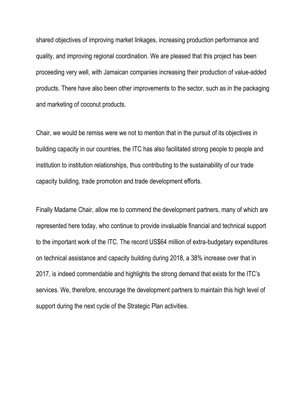shared objectives of improving market linkages, increasing production performance and quality, and improving regional coordination. We are pleased that this project has been proceeding very well, with Jamaican companies increasing their production of value-added products. There have also been other improvements to the sector, such as in the packaging and marketing of coconut products.

Chair, we would be remiss were we not to mention that in the pursuit of its objectives in building capacity in our countries, the ITC has also facilitated strong people to people and institution to institution relationships, thus contributing to the sustainability of our trade capacity building, trade promotion and trade development efforts.

Finally Madame Chair, allow me to commend the development partners, many of which are represented here today, who continue to provide invaluable financial and technical support to the important work of the ITC. The record US\$64 million of extra-budgetary expenditures on technical assistance and capacity building during 2018, a 38% increase over that in 2017, is indeed commendable and highlights the strong demand that exists for the ITC's services. We, therefore, encourage the development partners to maintain this high level of support during the next cycle of the Strategic Plan activities.